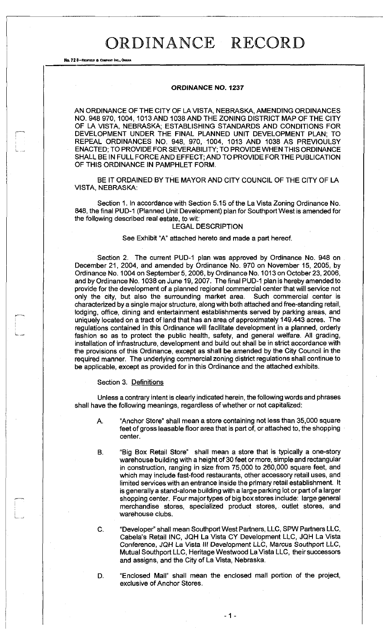No. 72 8—REDFIELD a COMPANY INC., OMAHA

## **ORDINANCE NO. 1237**

AN ORDINANCE OF THE CITY OF LA VISTA, NEBRASKA, AMENDING ORDINANCES NO. 948 970, 1004, 1013 AND 1038 AND THE ZONING DISTRICT MAP OF THE CITY OF LA VISTA, NEBRASKA; ESTABLISHING STANDARDS AND CONDITIONS FOR DEVELOPMENT UNDER THE FINAL PLANNED UNIT DEVELOPMENT PLAN; TO REPEAL ORDINANCES NO. 948, 970, 1004, 1013 AND 1038 AS PREVIOULSY ENACTED; TO PROVIDE FOR SEVERABILITY; TO PROVIDE WHEN THIS ORDINANCE SHALL BE IN FULL FORCE AND EFFECT; AND TO PROVIDE FOR THE PUBLICATION OF THIS ORDINANCE IN PAMPHLET FORM.

BE IT ORDAINED BY THE MAYOR AND CITY COUNCIL OF THE CITY OF LA VISTA, NEBRASKA:

Section 1. In accordance with Section 5.15 of the La Vista Zoning Ordinance No. 848, the final PUD-1 (Planned Unit Development) plan for Southport West is amended for the following described real estate, to wit:

## LEGAL DESCRIPTION

## See Exhibit "A" attached hereto and made a part hereof.

Section 2. The current PUD-1 plan was approved by Ordinance No. 948 on December 21, 2004, and amended by Ordinance No. 970 on November 15, 2005, by Ordinance No. 1004 on September 5, 2006, by Ordinance No. 1013 on October 23,2006, and by Ordinance No. 1038 on June 19,2007. The final PUD-1 plan is hereby amended to provide for the development of a planned regional commercial center that will service not only the city, but also the surrounding market area. Such commercial center is characterized by a single major structure, along with both attached and free-standing retail, lodging, office, dining and entertainment establishments served by parking areas, and uniquely located on a tract of land that has an area of approximately 149.443 acres. The regulations contained in this Ordinance will facilitate development in a planned, orderly fashion so as to protect the public health, safety, and general welfare. All grading, installation of infrastructure, development and build out shall be in strict accordance with the provisions of this Ordinance, except as shall be amended by the City Council in the required manner. The underlying commercial zoning district regulations shall continue to be applicable, except as provided for in this Ordinance and the attached exhibits.

### Section 3. Definitions

Unless a contrary intent is clearly indicated herein, the following words and phrases shall have the following meanings, regardless of whether or not capitalized:

- A. "Anchor Store" shall mean a store containing not less than 35,000 square feet of gross leasable floor area that is part of, or attached to, the shopping center.
- B. "Big Box Retail Store" shall mean a store that is typically a one-story warehouse building with a height of 30 feet or more, simple and rectangular in construction, ranging in size from 75,000 to 260,000 square feet, and which may include fast-food restaurants, other accessory retail uses, and limited services with an entrance inside the primary retail establishment. It is generally a stand-alone building with a large parking lot or part of a larger shopping center. Four major types of big box stores include: large general merchandise stores, specialized product stores, outlet stores, and warehouse clubs.
- C. "Developer" shall mean Southport West Partners, LLC, SPW Partners LLC, Cabela's Retail INC, JQH La Vista CY Development LLC, JQH La Vista Conference, JQH La Vista III Development LLC, Marcus Southport LLC, Mutual Southport LLC, Heritage Westwood La Vista LLC, their successors and assigns, and the City of La Vista, Nebraska.

D. "Enclosed Mall" shall mean the enclosed mall portion of the project, exclusive of Anchor Stores.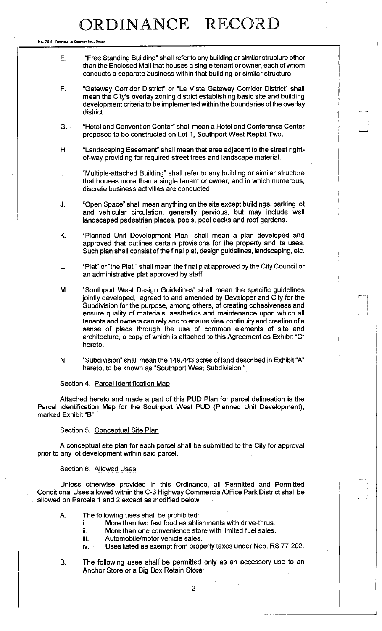No. 72 8-REDFIELD & COMPANY INC., OF

- E. "Free Standing Building" shall refer to any building or similar structure other than the Enclosed Mall that houses a single tenant or owner, each of whom conducts a separate business within that building or similar structure.
- F. "Gateway Corridor District" or "La Vista Gateway Corridor District" shall mean the City's overlay zoning district establishing basic site and building development criteria to be implemented within the boundaries of the overlay district.
- G. "Hotel and Convention Center" shall mean a Hotel and Conference Center proposed to be constructed on Lot 1, Southport West Replat Two.
- H. "Landscaping Easement" shall mean that area adjacent to the street rightof-way providing for required street trees and landscape material.
- I. "Multiple-attached Building" shall refer to any building or similar structure that houses more than a single tenant or owner, and in which numerous, discrete business activities are conducted.
- J. "Open Space" shall mean anything on the site except buildings, parking lot and vehicular circulation, generally pervious, but may include well landscaped pedestrian places, pools, pool decks and roof gardens.
- K. "Planned Unit Development Plan" shall mean a plan developed and approved that outlines certain provisions for the property and its uses. Such plan shall consist of the final plat, design guidelines, landscaping, etc.
- L. "Plat" or "the Plat," shall mean the final plat approved by the City Council or an administrative plat approved by staff.
- M. "Southport West Design Guidelines" shall mean the specific guidelines jointly developed, agreed to and amended by Developer and City for the Subdivision for the purpose, among others, of creating cohesiveness and ensure quality of materials, aesthetics and maintenance upon which all tenants and owners can rely and to ensure view continuity and creation of a sense of place through the use of common elements of site and architecture, a copy of which is attached to this Agreement as Exhibit "C" hereto.
- N. "Subdivision" shall mean the 149.443 acres of land described in Exhibit "A" hereto, to be known as "Southport West Subdivision."

### Section 4. Parcel Identification Map

Attached hereto and made a part of this PUD Plan for parcel delineation is the Parcel Identification Map for the Southport West PUD (Planned Unit Development), marked Exhibit "B".

### Section 5. Conceptual Site Plan

A conceptual site plan for each parcel shall be submitted to the City for approval prior to any lot development within said parcel.

## Section 6. Allowed Uses

Unless otherwise provided in this Ordinance, all Permitted and Permitted Conditional Uses allowed within the C-3 Highway Commercial/Office Park District shall be allowed on Parcels 1 and 2 except as modified below:

- A. The following uses shall be prohibited:
	- i. More than two fast food establishments with drive-thrus.
	- ii. More than one convenience store with limited fuel sales.
	- iii. Automobile/motor vehicle sales.
	- iv. Uses listed as exempt from property taxes under Neb. RS 77-202.
- B. The following uses shall be permitted only as an accessory use to an Anchor Store or a Big Box Retain Store: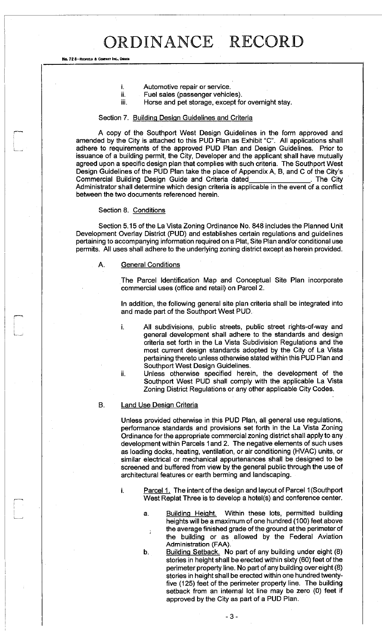- i. Automotive repair or service.
- ii. Fuel sales (passenger vehicles).
- iii. Horse and pet storage, except for overnight stay.

### Section 7. Building Design Guidelines and Criteria

A copy of the Southport West Design Guidelines in the form approved and amended by the City is attached to this PUD Plan as Exhibit "C". All applications shall adhere to requirements of the approved PUD Plan and Design Guidelines. Prior to issuance of a building permit, the City, Developer and the applicant shall have mutually agreed upon a specific design plan that complies with such criteria. The Southport West Design Guidelines of the PUD Plan take the place of Appendix A, B, and C of the City's Commercial Building Design Guide and Criteria dated . The City Administrator shall determine which design criteria is applicable in the event of a conflict between the two documents referenced herein.

### Section 8. Conditions

No. 72 8-REDFIELD & COMPANY INC., OM

Section 5.15 of the La Vista Zoning Ordinance No. 848 includes the Planned Unit Development Overlay District (PUD) and establishes certain regulations and guidelines pertaining to accompanying information required on a Plat, Site Plan and/or conditional use permits. All uses shall adhere to the underlying zoning district except as herein provided.

### A. General Conditions

The Parcel Identification Map and Conceptual Site Plan incorporate commercial uses (office and retail) on Parcel 2.

In addition, the following general site plan criteria shall be integrated into and made part of the Southport West PUD.

i. All subdivisions, public streets, public street rights-of-way and general development shall adhere to the standards and design criteria set forth in the La Vista Subdivision Regulations and the most current design standards adopted by the City of La Vista pertaining thereto unless otherwise stated within this PUD Plan and Southport West Design Guidelines.

ii. Unless otherwise specified herein, the development of the Southport West PUD shall comply with the applicable La Vista Zoning District Regulations or any other applicable City Codes.

## B. Land Use Design Criteria

Unless provided otherwise in this PUD Plan, all general use regulations, performance standards and provisions set forth in the La Vista Zoning Ordinance for the appropriate commercial zoning district shall apply to any development within Parcels 1 and 2. The negative elements of such uses as loading docks, heating, ventilation, or air conditioning (HVAC) units, or similar electrical or mechanical appurtenances shall be designed to be screened and buffered from view by the general public through the use of architectural features or earth berming and landscaping.

- i. Parcel 1. The intent of the design and layout of Parcel 1 (Southport West Replat Three is to develop a hotel(s) and conference center.
	- a. Building Height. Within these lots, permitted building heights will be a maximum of one hundred (100) feet above  $\mathbf{r}_1$ , the average finished grade of the ground at the perimeter of the building or as allowed by the Federal Aviation Administration (FAA).
	- b. Building Setback. No part of any building under eight (8) stories in height shall be erected within sixty (60) feet of the perimeter property line. No part of any building over eight (8) stories in height shall be erected within one hundred twentyfive (125) feet of the perimeter property line. The building setback from an internal lot line may be zero (0) feet if approved by the City as part of a PUD Plan.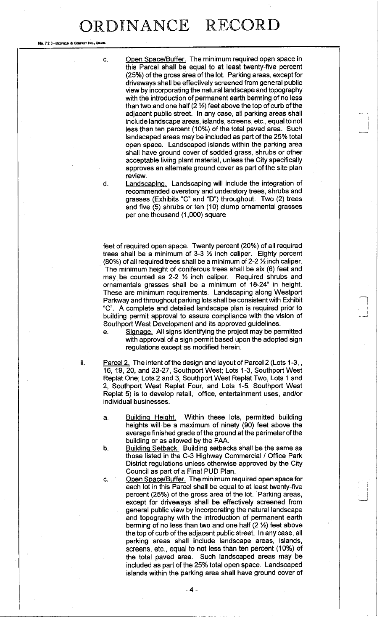No. 72 B-REDFIELD & COMPANY INC., OMAHA

c. Open Space/Buffer. The minimum required open space in this Parcel shall be equal to at least twenty-five percent (25%) of the gross area of the lot. Parking areas, except for driveways shall be effectively screened from general public view by incorporating the natural landscape and topography with the introduction of permanent earth berming of no less than two and one half  $(2  $\frac{1}{2}$ )$  feet above the top of curb of the adjacent public street. In any case, all parking areas shall include landscape areas, islands, screens, etc., equal to not less than ten percent (10%) of the total paved area. Such landscaped areas may be included as part of the 25% total open space. Landscaped islands within the parking area shall have ground cover of sodded grass, shrubs or other acceptable living plant material, unless the City specifically approves an alternate ground cover as part of the site plan review.

d. Landscaping Landscaping will include the integration of recommended overstory and understory trees, shrubs and grasses (Exhibits "C" and "D") throughout. Two (2) trees and five (5) shrubs or ten (10) clump ornamental grasses per one thousand (1,000) square

feet of required open space. Twenty percent (20%) of all required trees shall be a minimum of  $3-3$  % inch caliper. Eighty percent (80%) of all required trees shall be a minimum of 2-2 *Vz* inch caliper. The minimum height of coniferous trees shall be six (6) feet and may be counted as 2-2 % inch caliper. Required shrubs and ornamentals grasses shall be a minimum of 18-24" in height. These are minimum requirements. Landscaping along Westport Parkway and throughout parking lots shall be consistent with Exhibit "C". A complete and detailed landscape plan is required prior to building permit approval to assure compliance with the vision of Southport West Development and its approved guidelines,

e. Signage. All signs identifying the project may be permitted with approval of a sign permit based upon the adopted sign regulations except as modified herein.

ii. Parcel 2. The intent of the design and layout of Parcel 2 (Lots 1-3, 16, 19, 20, and 23-27, Southport West; Lots 1-3, Southport West Replat One; Lots 2 and 3, Southport West Replat Two, Lots 1 and 2, Southport West Replat Four, and Lots . 1-5, Southport West Replat 5) is to develop retail, office, entertainment uses, and/or individual businesses.

- a. Building Height. Within these lots, permitted building heights will be a maximum of ninety (90) feet above the average finished grade of the ground at the perimeter of the building or as allowed by the FAA.
- b. Building Setback. Building setbacks shall be the same as those listed in the C-3 Highway Commercial / Office Park District regulations unless otherwise approved by the City Council as part of a Final PUD Plan.
- c. Open Space/Buffer. The minimum required open space for each lot in this Parcel shall be equal to at least twenty-five percent (25%) of the gross area of the lot. Parking areas, except for driveways shall be effectively screened from general public view by incorporating the natural landscape and topography with the introduction of permanent earth berming of no less than two and one half (2 %) feet above the top of curb of the adjacent public street. In any case, all parking areas shall include landscape areas, islands, screens, etc., equal to not less than ten percent (10%) of the total paved area. Such landscaped areas may be included as part of the 25% total open space. Landscaped islands within the parking area shall have ground cover of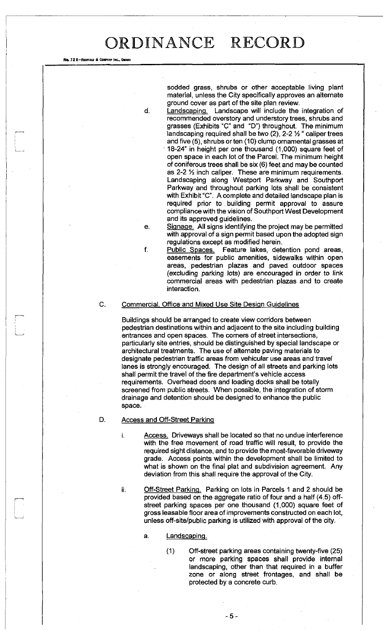sodded grass, shrubs or other acceptable living plant material, unless the City specifically approves an alternate ground cover as part of the site plan review.

d. Landscaping. Landscape will include the integration of recommended overstory and understory trees, shrubs and grasses (Exhibits "C" and "D") throughout. The minimum landscaping required shall be two  $(2)$ , 2-2  $\frac{1}{2}$  " caliper trees and five (5), shrubs or ten (10) clump ornamental grasses at ' 18-24" in height per one thousand (1,000) square feet of open space in each lot of the Parcel. The minimum height of coniferous trees shall be six (6) feet and may be counted as  $2-2$   $\frac{1}{2}$  inch caliper. These are minimum requirements. Landscaping along Westport Parkway and Southport Parkway and throughout parking lots shall be consistent with Exhibit "C". A complete and detailed landscape plan is required prior to . building permit approval to assure compliance with the vision of Southport West Development and its approved guidelines.

e. Signage. All signs identifying the project may be permitted with approval of a sign permit based upon the adopted sign regulations except as modified herein.

f. Public Spaces. Feature lakes, detention pond areas, easements for public amenities, sidewalks within open areas, pedestrian plazas and paved outdoor spaces (excluding parking lots) are encouraged in order to link commercial areas with pedestrian plazas and to create interaction.

### C. Commercial. Office and Mixed Use Site Design Guidelines

Buildings should be arranged to create view corridors between pedestrian destinations within and adjacent to the site including building entrances and open spaces. The corners of street intersections, particularly site entries, should be distinguished by special landscape or architectural treatments. The use of alternate paving materials to designate pedestrian traffic areas from vehicular use areas and travel lanes is strongly encouraged. The design of all streets and parking lots shall permit the travel of the fire department's vehicle access requirements. Overhead doors and loading docks shall be totally screened from public streets. When possible, the integration of storm drainage and detention should be designed to enhance the public space.

## D. Access and Off-Street Parking

i. Access. Driveways shall be located so that no undue interference with the free movement of road traffic will result, to provide the required sight distance, and to provide the most-favorable driveway grade. Access points within the development shall be limited to what is shown on the final plat and subdivision agreement. Any deviation from this shall require the approval of the City.

No. 72 8-REDFIELD & COMPANY INC., OMAHA

- ii. Off-Street Parking. Parking on lots in Parcels 1 and 2 should be provided based on the aggregate ratio of four and a half (4.5) offstreet parking spaces per one thousand (1,000) square feet of gross leasable floor area of improvements constructed on each lot, unless off-site/public parking is utilized with approval of the city.
	- a. Landscaping.
		- (1) Off-street parking areas containing twenty-five (25) or more parking spaces shall provide internal landscaping, other than that required in a buffer zone or along street frontages, and shall be protected by a concrete curb.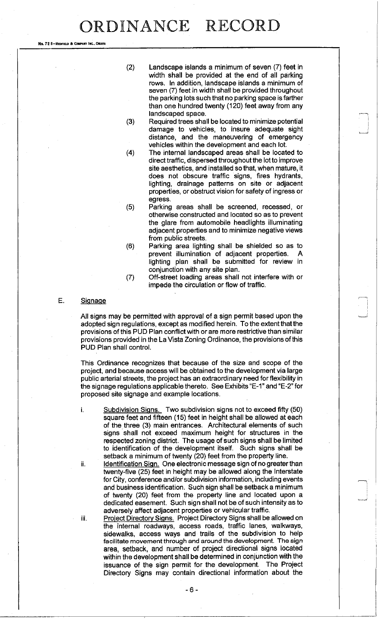No. 72 8-REDFIELD & COMPANY INC., OMAHA

- (2) Landscape islands a minimum of seven (7) feet in width shall be provided at the end of all parking rows. In addition, landscape islands a minimum of seven (7) feet in width shall be provided throughout the parking lots such that no parking space is farther than one hundred twenty (120) feet away from any landscaped space.
- (3) Required trees shall be located to minimize potential damage to vehicles, to insure adequate sight distance, and the maneuvering of emergency vehicles within the development and each lot.
- (4) The internal landscaped areas shall be located to direct traffic, dispersed throughout the lot to improve site aesthetics, and installed so that, when mature, it does not obscure traffic signs, fires hydrants, lighting, drainage patterns on site or adjacent properties, or obstruct vision for safety of ingress or egress.
	-
- (5) Parking areas shall be screened, recessed, or otherwise constructed and located so as to prevent the glare from automobile headlights illuminating adjacent properties and to minimize negative views from public streets.
- (6) Parking area lighting shall be shielded so as to prevent illumination of adjacent properties. A lighting plan shall be submitted for review in conjunction with any site plan.
- (7) Off-street loading areas shall not interfere with or impede the circulation or flow of traffic.

### E. Signage

All signs may be permitted with approval of a sign permit based upon the adopted sign regulations, except as modified herein. To the extent that the provisions of this PUD Plan conflict with or are more restrictive than similar provisions provided in the La Vista Zoning Ordinance, the provisions of this PUD Plan shall control.

This Ordinance recognizes that because of the size and scope of the project, and because access will be obtained to the development via large public arterial streets, the project has an extraordinary need for flexibility in the signage regulations applicable thereto. See Exhibits "E-1" and "E-2" for proposed site signage and example locations.

- i. Subdivision Signs. Two subdivision signs not to exceed fifty (50) square feet and fifteen (15) feet in height shall be allowed at each of the three (3) main entrances. Architectural elements of such signs shall not exceed maximum height for structures in the respected zoning district. The usage of such signs shall be limited to identification of the development itself. Such signs shall be setback a minimum of twenty (20) feet from the property line.
- ii. Identification Sign. One electronic message sign of no greater than twenty-five (25) feet in height may be allowed along the Interstate for City, conference and/or subdivision information, including events and business identification. Such sign shall be setback a minimum of twenty (20) feet from the property line and located upon a dedicated easement. Such sign shall not be of such intensity as to adversely affect adjacent properties or vehicular traffic.
- iii. Project Directory Signs. Project Directory Signs shall be allowed on the internal roadways, access roads, traffic lanes, walkways, sidewalks, access ways and trails of the subdivision to help facilitate movement through and around the development. The sign area, setback, and number of project directional signs located within the development shall be determined in conjunction with the issuance of the sign permit for the development. The Project Directory Signs may contain directional information about the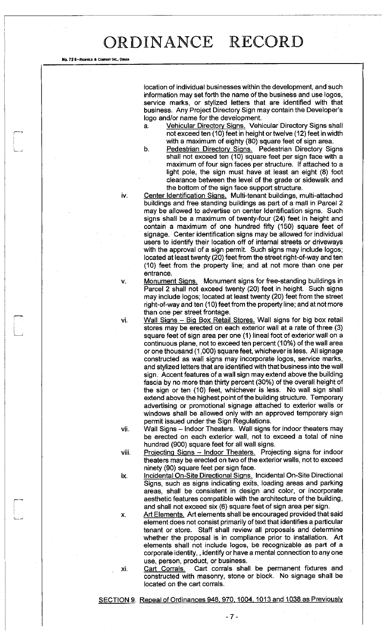No. 72 B-REDFIELD & COMPANT INC., OMAHA

location of individual businesses within the development, and such information may set forth the name of the business and use logos, service marks, or stylized letters that are identified with that business. Any Project Directory Sign may contain the Developer's logo and/or name for the development.

Vehicular Directory Signs. Vehicular Directory Signs shall not exceed ten (10) feet in height or twelve (12) feet in width with a maximum of eighty (80) square feet of sign area.

b. Pedestrian Directory Signs. Pedestrian Directory Signs shall not exceed ten (10) square feet per sign face with a maximum of four sign faces per structure. If attached to a light pole, the sign must have at least an eight (8) foot clearance between the level of the grade or sidewalk and the bottom of the sign face support structure.

iv. Center Identification Signs. Multi-tenant buildings, multi-attached buildings and free standing buildings as part of a mall in Parcel 2 may be allowed to advertise on center Identification signs. Such signs shall be a maximum of twenty-four (24) feet in height and contain a maximum of one hundred fifty (150) square feet of signage. Center identification signs may be allowed for individual users to identify their location off of internal streets or driveways with the approval of a sign permit. Such signs may include logos; located at least twenty (20) feet from the street right-of-way and ten (10) feet from the property line; and at not more than one per entrance.

v. Monument Signs. Monument signs for free-standing buildings in Parcel 2 shall not exceed twenty (20) feet in height. Such signs may include logos; located at least twenty (20) feet from the street right-of-way and ten (10) feet from the property line; and at not more than one per street frontage.

vi. Wall Signs - Big Box Retail Stores. Wall signs for big box retail stores may be erected on each exterior wall at a rate of three (3) square feet of sign area per one (1) lineal foot of exterior wall on a continuous plane, not to exceed ten percent (10%) of the wall area or one thousand (1,000) square feet, whichever is less. All signage constructed as wall signs may incorporate logos, service marks, and stylized letters that are identified with that business into the wall sign. Accent features of a wall sign may extend above the building fascia by no more than thirty percent (30%) of the overall height of the sign or ten (10) feet, whichever is less. No wall sign shall extend above the highest point of the building structure. Temporary advertising or promotional signage attached to exterior walls or windows shall be allowed only with an approved temporary sign permit issued under the Sign Regulations.

vii. Wall Signs - Indoor Theaters. Wall signs for indoor theaters may be erected on each exterior wall, not to exceed a total of nine hundred (900) square feet for all wall signs.

viii. Projecting Signs - Indoor Theaters. Projecting signs for indoor theaters may be erected on two of the exterior walls, not to exceed ninety (90) square feet per sign face.

ix. Incidental On-Site Directional Signs. Incidental On-Site Directional Signs, such as signs indicating exits, loading areas and parking areas, shall be consistent in design and color, or incorporate aesthetic features compatible with the architecture of the building, and shall not exceed six (6) square feet of sign area per sign.

x. Art Elements. Art elements shall be encouraged provided that said element does not consist primarily of text that identifies a particular tenant or store. Staff shall review all proposals and determine whether the proposal is in compliance prior to installation. Art elements shall not include logos, be recognizable as part of a corporate identity,, identify or have a mental connection to any one use, person, product, or business.

xi. Cart Corrals. Cart corrals shall be permanent fixtures and constructed with masonry, stone or block. No signage shall be located on the cart corrals.

SECTION 9. Repeal of Ordinances 948, 970, 1004, 1013 and 1038 as Previously